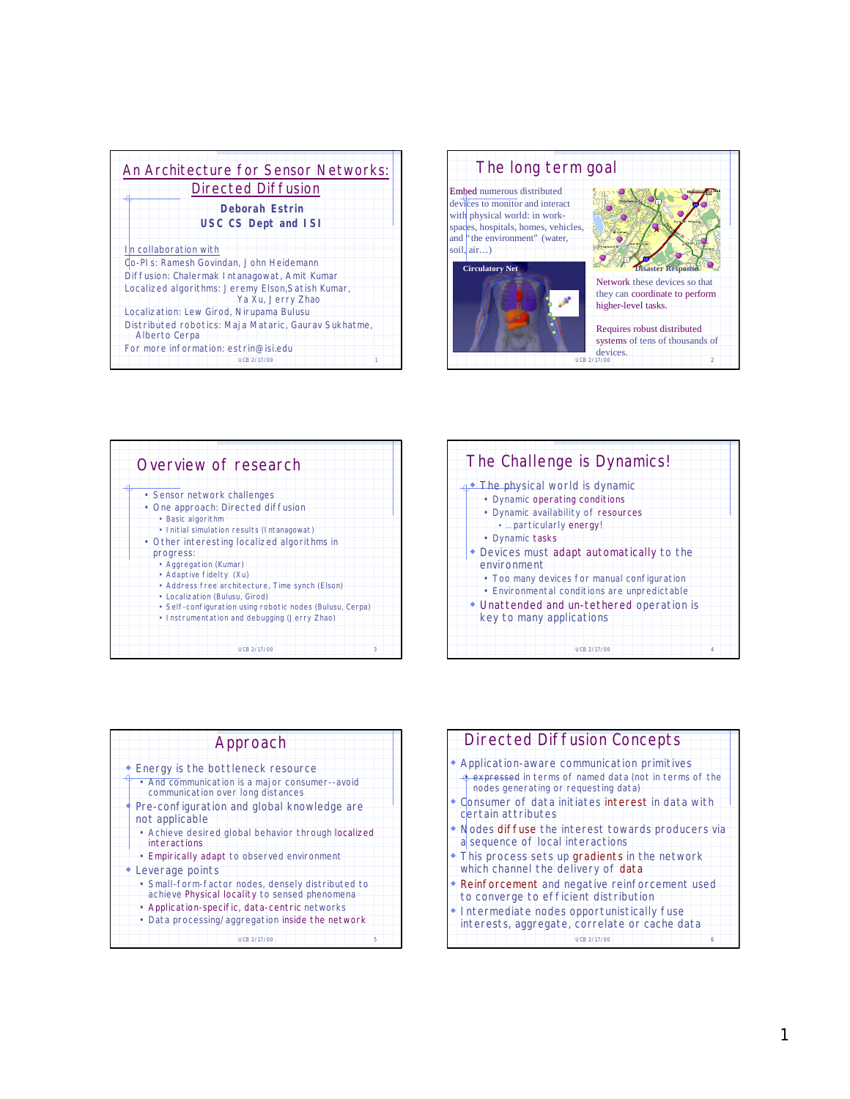| An Architecture for Sensor Networks:                                  |
|-----------------------------------------------------------------------|
| <b>Directed Diffusion</b>                                             |
| <b>Deborah Estrin</b>                                                 |
| <b>USC CS Dept and ISI</b>                                            |
|                                                                       |
| In collaboration with                                                 |
| Co-PI s: Ramesh Govindan, John Heidemann                              |
| Diffusion: Chalermak Intanagowat, Amit Kumar                          |
| Localized algorithms: Jeremy Elson, Satish Kumar,                     |
| Ya Xu, Jerry Zhao                                                     |
| Localization: Lew Girod, Nirupama Bulusu                              |
| Distributed robotics: Maja Mataric, Gaurav Sukhatme,<br>Alberto Cerpa |
| For more information: estrin@isi.edu                                  |
| LICB 2/17/00                                                          |



| Overview of research                                                                                                                                                                                                                                                                                                                                                                                                                                  |   |
|-------------------------------------------------------------------------------------------------------------------------------------------------------------------------------------------------------------------------------------------------------------------------------------------------------------------------------------------------------------------------------------------------------------------------------------------------------|---|
| • Sensor network challenges<br>• One approach: Directed diffusion<br>• Basic algorithm<br>• Initial simulation results (Intanagowat)<br>• Other interesting localized algorithms in<br>progress:<br>• Aggregation (Kumar)<br>• Adaptive fidelty (Xu)<br>• Address free architecture, Time synch (Elson)<br>• Localization (Bulusu, Girod)<br>• Self-configuration using robotic nodes (Bulusu, Cerpa)<br>• Instrumentation and debugging (Jerry Zhao) |   |
| UCB 2/17/00                                                                                                                                                                                                                                                                                                                                                                                                                                           | 3 |

| The Challenge is Dynamics!                                                                                                                                        |  |
|-------------------------------------------------------------------------------------------------------------------------------------------------------------------|--|
| $\rightarrow$ The physical world is dynamic<br>• Dynamic operating conditions<br>• Dynamic availability of resources<br>• particularly energy!<br>• Dynamic tasks |  |
| • Devices must adapt automatically to the<br>environment<br>• Too many devices for manual configuration                                                           |  |
| • Environmental conditions are unpredictable<br>• Unattended and un-tethered operation is<br>key to many applications                                             |  |
| LICB 2/17/00                                                                                                                                                      |  |

| Approach                                                                                                                                                               |   |
|------------------------------------------------------------------------------------------------------------------------------------------------------------------------|---|
| Energy is the bottleneck resource<br>• And communication is a major consumer--avoid<br>communication over long distances<br>Pre-configuration and global knowledge are |   |
| not applicable<br>• Achieve desired global behavior through localized<br>interactions                                                                                  |   |
| • Empirically adapt to observed environment<br>• Leverage points                                                                                                       |   |
| • Small-form-factor nodes, densely distributed to<br>achieve Physical locality to sensed phenomena                                                                     |   |
| • Application-specific, data-centric networks<br>• Data processing/aggregation inside the network                                                                      |   |
| UCB 2/17/00                                                                                                                                                            | 5 |

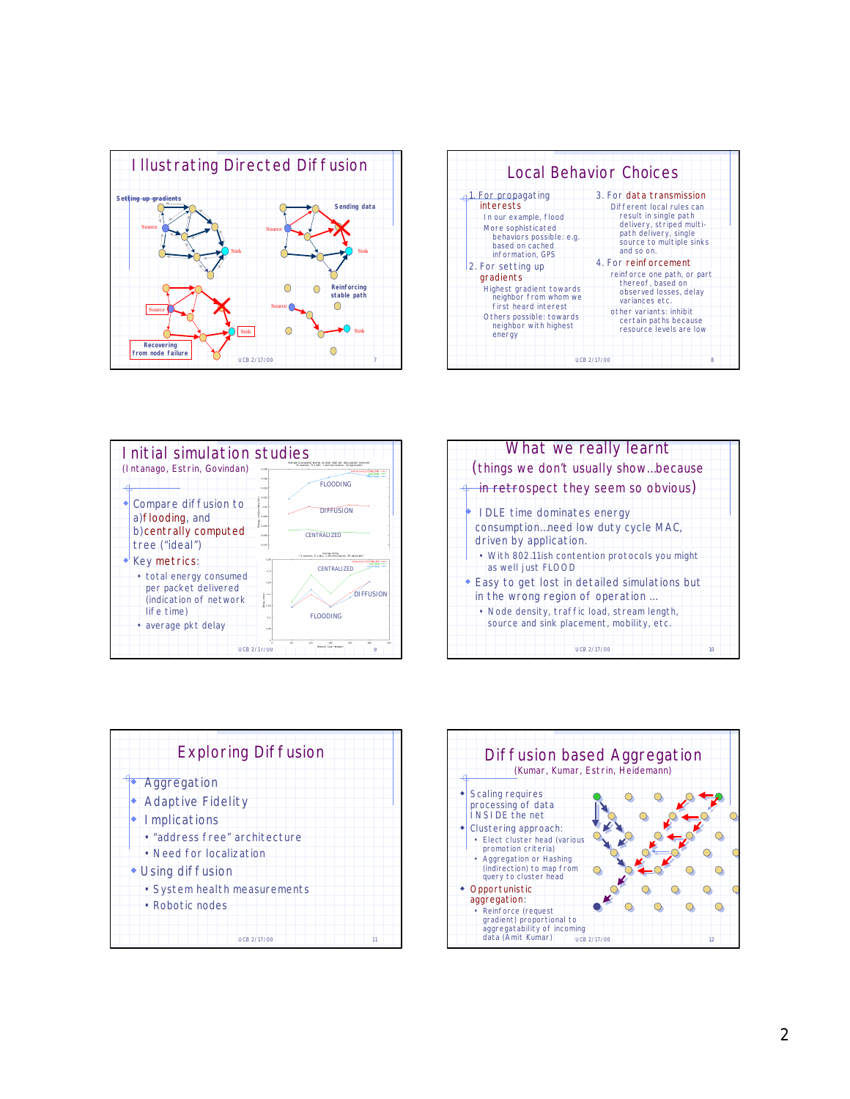

|                                                                                                                                                                                                                                                                                                                                 | <b>Local Behavior Choices</b>                                                                                                                                                                                                                                                                                                                                                        |
|---------------------------------------------------------------------------------------------------------------------------------------------------------------------------------------------------------------------------------------------------------------------------------------------------------------------------------|--------------------------------------------------------------------------------------------------------------------------------------------------------------------------------------------------------------------------------------------------------------------------------------------------------------------------------------------------------------------------------------|
| 1. For propagating<br>interests<br>In our example, flood<br>More sophisticated<br>behaviors possible: e.g.<br>based on cached<br>information, GPS<br>2. For setting up<br>gradients<br>Highest gradient towards<br>neighbor from whom we<br>first heard interest<br>Others possible: towards<br>neighbor with highest<br>energy | 3. For data transmission<br>Different local rules can<br>result in single path<br>delivery, striped multi-<br>path delivery, single<br>source to multiple sinks<br>and so on.<br>4. For reinforcement<br>reinforce one path, or part<br>thereof, based on<br>observed losses, delay<br>variances etc.<br>other variants: inhibit<br>certain paths because<br>resource levels are low |
|                                                                                                                                                                                                                                                                                                                                 | <b>UCB 2/17/00</b><br>8                                                                                                                                                                                                                                                                                                                                                              |



| What we really learnt<br>(things we don't usually show because                                                                                                                  |  |
|---------------------------------------------------------------------------------------------------------------------------------------------------------------------------------|--|
| in retrospect they seem so obvious)                                                                                                                                             |  |
| • IDLE time dominates energy<br>consumption need low duty cycle MAC,<br>driven by application.<br>. With 802.11ish contention protocols you might<br>as well just FLOOD         |  |
| ◆ Easy to get lost in detailed simulations but<br>in the wrong region of operation<br>• Node density, traffic load, stream length,<br>source and sink placement, mobility, etc. |  |
| UCB 2/17/00<br>10 <sub>10</sub>                                                                                                                                                 |  |



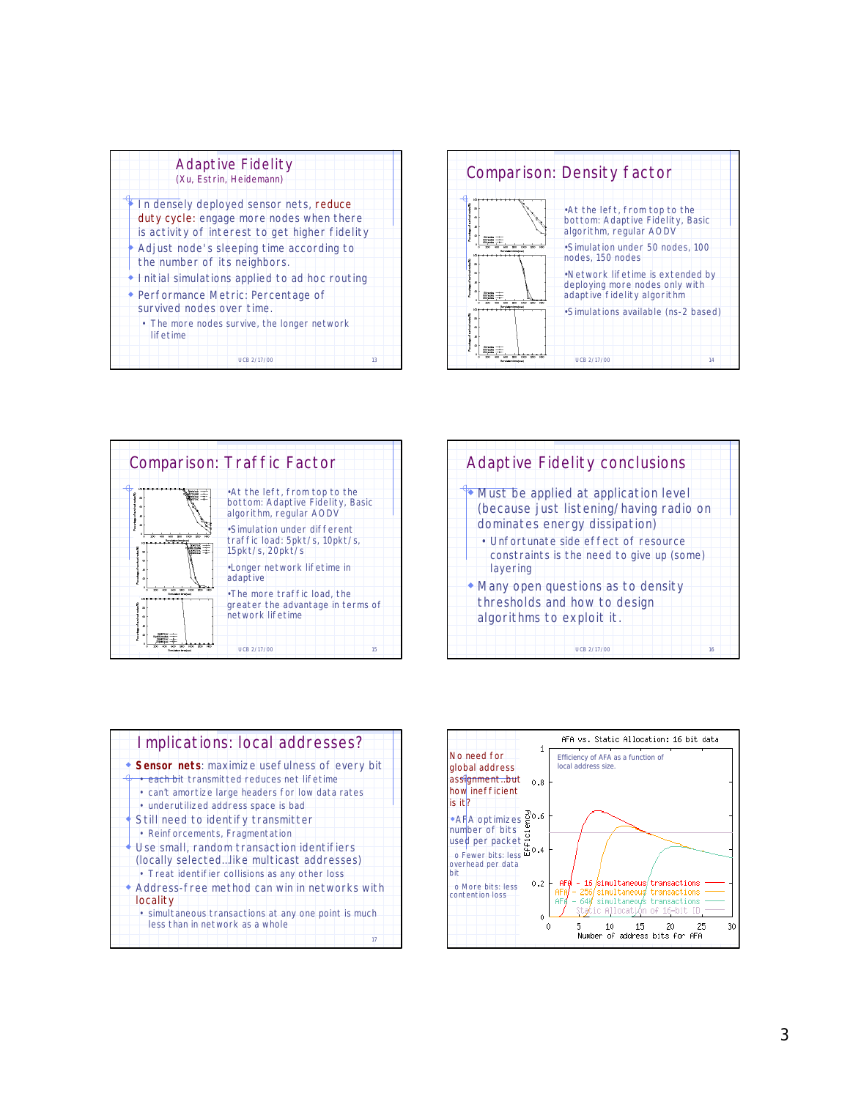| <b>Adaptive Fidelity</b><br>(Xu, Estrin, Heidemann)                                                                                   |  |
|---------------------------------------------------------------------------------------------------------------------------------------|--|
| In densely deployed sensor nets, reduce<br>duty cycle: engage more nodes when there<br>is activity of interest to get higher fidelity |  |
| • Adjust node's sleeping time according to<br>the number of its neighbors.                                                            |  |
| • I nitial simulations applied to ad hoc routing                                                                                      |  |
| ◆ Performance Metric: Percentage of<br>survived nodes over time.                                                                      |  |
| • The more nodes survive, the longer network<br>lifetime                                                                              |  |
| UCB 2/17/00<br>13                                                                                                                     |  |





| <b>Adaptive Fidelity conclusions</b>                                                                                                                                                                               |    |
|--------------------------------------------------------------------------------------------------------------------------------------------------------------------------------------------------------------------|----|
| Must be applied at application level<br>(because just listening/having radio on<br>dominates energy dissipation)<br>• Unfortunate side effect of resource<br>constraints is the need to give up (some)<br>layering |    |
| • Many open questions as to density<br>thresholds and how to design<br>algorithms to exploit it.<br>LICB 2/17/00                                                                                                   | 16 |



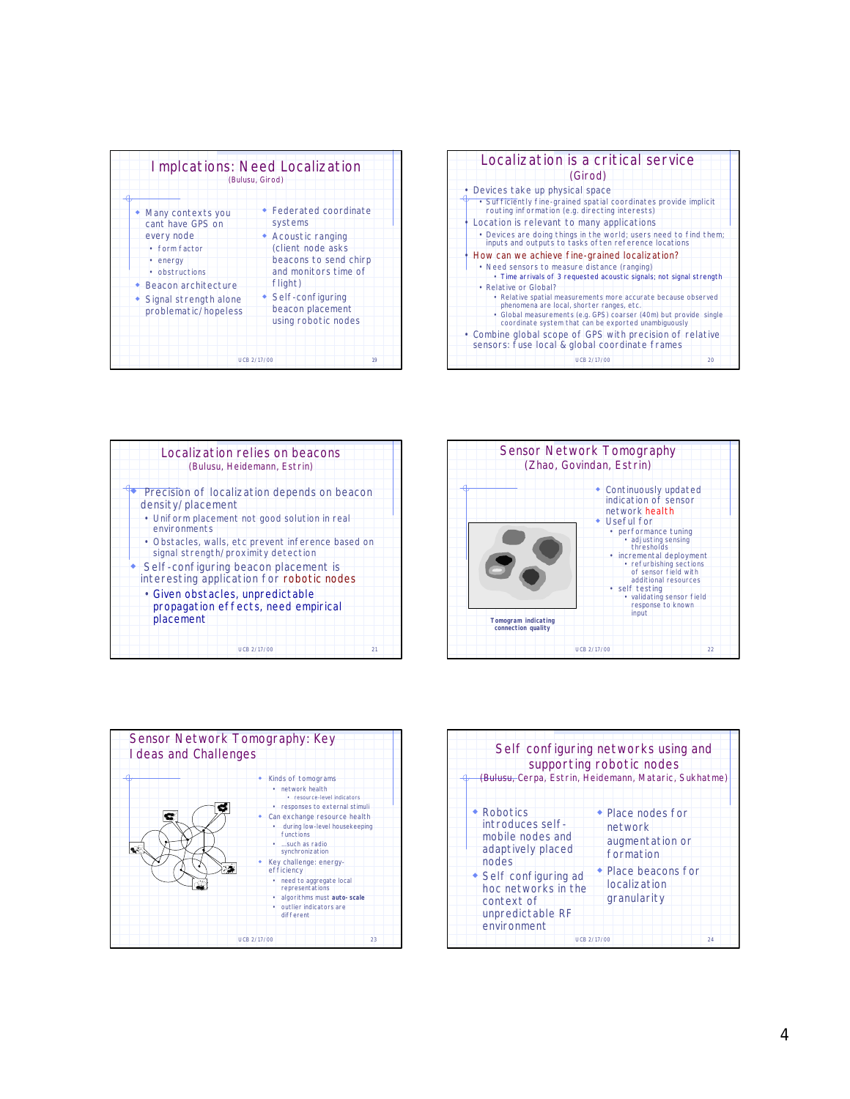|                                                                                                                                                                                | <b>Implcations: Need Localization</b><br>(Bulusu, Girod)                                                                                                                                                  |
|--------------------------------------------------------------------------------------------------------------------------------------------------------------------------------|-----------------------------------------------------------------------------------------------------------------------------------------------------------------------------------------------------------|
| Many contexts you<br>cant have GPS on<br>every node<br>• form factor<br>• energy<br>• obstructions<br>• Beacon architecture<br>• Signal strength alone<br>problematic/hopeless | ◆ Federated coordinate<br>systems<br>• Acoustic ranging<br>(client node asks<br>beacons to send chirp<br>and monitors time of<br>flight)<br>• Self-configuring<br>beacon placement<br>using robotic nodes |
|                                                                                                                                                                                | <b>UCB 2/17/00</b><br>19                                                                                                                                                                                  |



| Localization relies on beacons<br>(Bulusu, Heidemann, Estrin)                             |  |
|-------------------------------------------------------------------------------------------|--|
| Precision of localization depends on beacon<br>density/placement                          |  |
| • Uniform placement not good solution in real<br>environments                             |  |
| · Obstacles, walls, etc prevent inference based on<br>signal strength/proximity detection |  |
| Self-configuring beacon placement is<br>interesting application for robotic nodes         |  |
| · Given obstacles, unpredictable<br>propagation effects, need empirical<br>placement      |  |
| 21<br>UCB 2/17/00                                                                         |  |